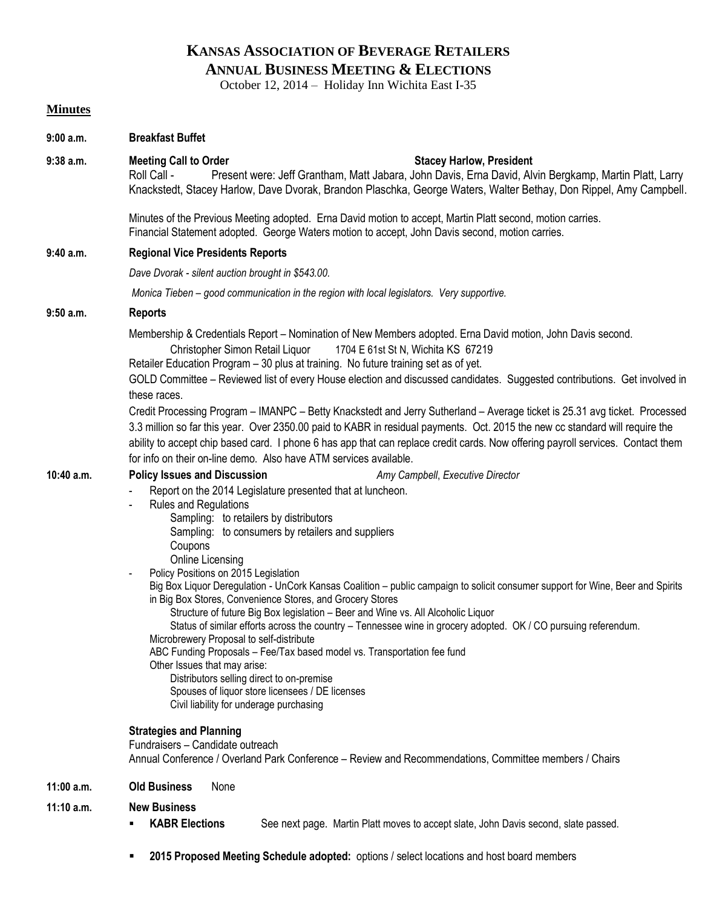# **KANSAS ASSOCIATION OF BEVERAGE RETAILERS ANNUAL BUSINESS MEETING & ELECTIONS**

October 12, 2014 – Holiday Inn Wichita East I-35

### **Minutes**

| 9:00 a.m.  | <b>Breakfast Buffet</b>                                                                                                                                                                                                                                                                                                                                                                                                                                                                                                                                                                                                                                                                                                                                                                                                                                                                                                                                                                                                                                                       |  |  |  |
|------------|-------------------------------------------------------------------------------------------------------------------------------------------------------------------------------------------------------------------------------------------------------------------------------------------------------------------------------------------------------------------------------------------------------------------------------------------------------------------------------------------------------------------------------------------------------------------------------------------------------------------------------------------------------------------------------------------------------------------------------------------------------------------------------------------------------------------------------------------------------------------------------------------------------------------------------------------------------------------------------------------------------------------------------------------------------------------------------|--|--|--|
| 9:38 a.m.  | <b>Meeting Call to Order</b><br><b>Stacey Harlow, President</b><br>Present were: Jeff Grantham, Matt Jabara, John Davis, Erna David, Alvin Bergkamp, Martin Platt, Larry<br>Roll Call -<br>Knackstedt, Stacey Harlow, Dave Dvorak, Brandon Plaschka, George Waters, Walter Bethay, Don Rippel, Amy Campbell.                                                                                                                                                                                                                                                                                                                                                                                                                                                                                                                                                                                                                                                                                                                                                                  |  |  |  |
|            | Minutes of the Previous Meeting adopted. Erna David motion to accept, Martin Platt second, motion carries.<br>Financial Statement adopted. George Waters motion to accept, John Davis second, motion carries.                                                                                                                                                                                                                                                                                                                                                                                                                                                                                                                                                                                                                                                                                                                                                                                                                                                                 |  |  |  |
| 9:40 a.m.  | <b>Regional Vice Presidents Reports</b>                                                                                                                                                                                                                                                                                                                                                                                                                                                                                                                                                                                                                                                                                                                                                                                                                                                                                                                                                                                                                                       |  |  |  |
|            | Dave Dvorak - silent auction brought in \$543.00.                                                                                                                                                                                                                                                                                                                                                                                                                                                                                                                                                                                                                                                                                                                                                                                                                                                                                                                                                                                                                             |  |  |  |
|            | Monica Tieben - good communication in the region with local legislators. Very supportive.                                                                                                                                                                                                                                                                                                                                                                                                                                                                                                                                                                                                                                                                                                                                                                                                                                                                                                                                                                                     |  |  |  |
| 9:50 a.m.  | <b>Reports</b>                                                                                                                                                                                                                                                                                                                                                                                                                                                                                                                                                                                                                                                                                                                                                                                                                                                                                                                                                                                                                                                                |  |  |  |
|            | Membership & Credentials Report – Nomination of New Members adopted. Erna David motion, John Davis second.<br>Christopher Simon Retail Liquor<br>1704 E 61st St N, Wichita KS 67219<br>Retailer Education Program - 30 plus at training. No future training set as of yet.<br>GOLD Committee - Reviewed list of every House election and discussed candidates. Suggested contributions. Get involved in                                                                                                                                                                                                                                                                                                                                                                                                                                                                                                                                                                                                                                                                       |  |  |  |
|            | these races.<br>Credit Processing Program - IMANPC - Betty Knackstedt and Jerry Sutherland - Average ticket is 25.31 avg ticket. Processed<br>3.3 million so far this year. Over 2350.00 paid to KABR in residual payments. Oct. 2015 the new cc standard will require the<br>ability to accept chip based card. I phone 6 has app that can replace credit cards. Now offering payroll services. Contact them<br>for info on their on-line demo. Also have ATM services available.                                                                                                                                                                                                                                                                                                                                                                                                                                                                                                                                                                                            |  |  |  |
| 10:40 a.m. | <b>Policy Issues and Discussion</b><br>Amy Campbell, Executive Director<br>Report on the 2014 Legislature presented that at luncheon.<br>Rules and Regulations<br>Sampling: to retailers by distributors<br>Sampling: to consumers by retailers and suppliers<br>Coupons<br>Online Licensing<br>Policy Positions on 2015 Legislation<br>Big Box Liquor Deregulation - UnCork Kansas Coalition - public campaign to solicit consumer support for Wine, Beer and Spirits<br>in Big Box Stores, Convenience Stores, and Grocery Stores<br>Structure of future Big Box legislation - Beer and Wine vs. All Alcoholic Liquor<br>Status of similar efforts across the country – Tennessee wine in grocery adopted. OK / CO pursuing referendum.<br>Microbrewery Proposal to self-distribute<br>ABC Funding Proposals - Fee/Tax based model vs. Transportation fee fund<br>Other Issues that may arise:<br>Distributors selling direct to on-premise<br>Spouses of liquor store licensees / DE licenses<br>Civil liability for underage purchasing<br><b>Strategies and Planning</b> |  |  |  |
|            | Fundraisers - Candidate outreach<br>Annual Conference / Overland Park Conference - Review and Recommendations, Committee members / Chairs                                                                                                                                                                                                                                                                                                                                                                                                                                                                                                                                                                                                                                                                                                                                                                                                                                                                                                                                     |  |  |  |
| 11:00 a.m. | <b>Old Business</b><br>None                                                                                                                                                                                                                                                                                                                                                                                                                                                                                                                                                                                                                                                                                                                                                                                                                                                                                                                                                                                                                                                   |  |  |  |
| 11:10 a.m. | <b>New Business</b><br><b>KABR Elections</b><br>See next page. Martin Platt moves to accept slate, John Davis second, slate passed.                                                                                                                                                                                                                                                                                                                                                                                                                                                                                                                                                                                                                                                                                                                                                                                                                                                                                                                                           |  |  |  |

**2015 Proposed Meeting Schedule adopted:** options / select locations and host board members